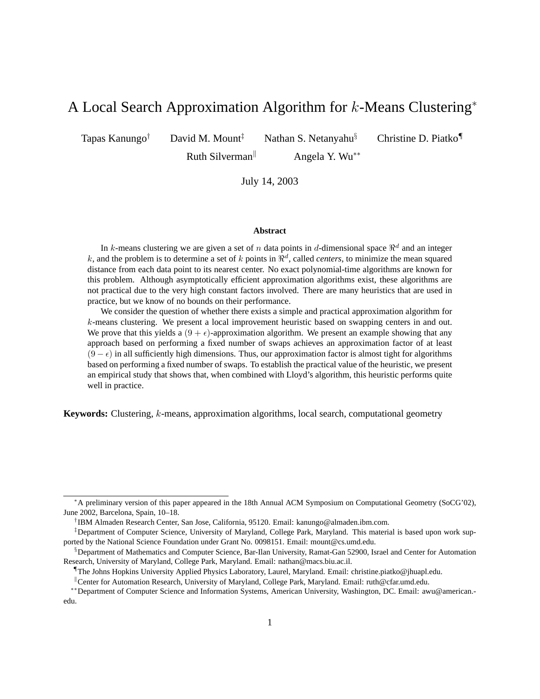# A Local Search Approximation Algorithm for k-Means Clustering<sup>∗</sup>

Tapas Kanungo<sup>†</sup> David M. Mount<sup>‡</sup> Nathan S. Netanyahu<sup>§</sup> Christine D. Piatko<sup>¶</sup>

Ruth Silverman<sup>||</sup> Angela Y. Wu<sup>\*\*</sup>

July 14, 2003

#### **Abstract**

In k-means clustering we are given a set of n data points in d-dimensional space  $\mathbb{R}^d$  and an integer k, and the problem is to determine a set of k points in  $\mathbb{R}^d$ , called *centers*, to minimize the mean squared distance from each data point to its nearest center. No exact polynomial-time algorithms are known for this problem. Although asymptotically efficient approximation algorithms exist, these algorithms are not practical due to the very high constant factors involved. There are many heuristics that are used in practice, but we know of no bounds on their performance.

We consider the question of whether there exists a simple and practical approximation algorithm for k-means clustering. We present a local improvement heuristic based on swapping centers in and out. We prove that this yields a  $(9 + \epsilon)$ -approximation algorithm. We present an example showing that any approach based on performing a fixed number of swaps achieves an approximation factor of at least  $(9 - \epsilon)$  in all sufficiently high dimensions. Thus, our approximation factor is almost tight for algorithms based on performing a fixed number of swaps. To establish the practical value of the heuristic, we present an empirical study that shows that, when combined with Lloyd's algorithm, this heuristic performs quite well in practice.

**Keywords:** Clustering, k-means, approximation algorithms, local search, computational geometry

<sup>∗</sup>A preliminary version of this paper appeared in the 18th Annual ACM Symposium on Computational Geometry (SoCG'02), June 2002, Barcelona, Spain, 10–18.

<sup>†</sup>IBM Almaden Research Center, San Jose, California, 95120. Email: kanungo@almaden.ibm.com.

<sup>‡</sup>Department of Computer Science, University of Maryland, College Park, Maryland. This material is based upon work supported by the National Science Foundation under Grant No. 0098151. Email: mount@cs.umd.edu.

<sup>§</sup>Department of Mathematics and Computer Science, Bar-Ilan University, Ramat-Gan 52900, Israel and Center for Automation Research, University of Maryland, College Park, Maryland. Email: nathan@macs.biu.ac.il.

<sup>¶</sup>The Johns Hopkins University Applied Physics Laboratory, Laurel, Maryland. Email: christine.piatko@jhuapl.edu.

<sup>k</sup>Center for Automation Research, University of Maryland, College Park, Maryland. Email: ruth@cfar.umd.edu.

<sup>∗∗</sup>Department of Computer Science and Information Systems, American University, Washington, DC. Email: awu@american. edu.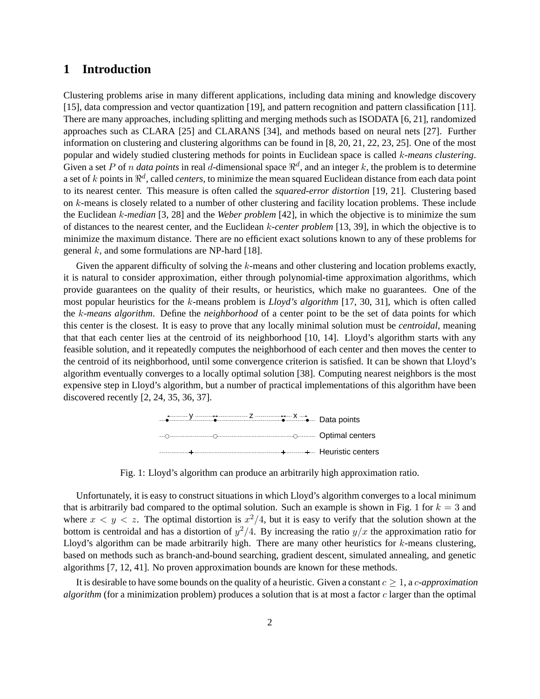### **1 Introduction**

Clustering problems arise in many different applications, including data mining and knowledge discovery [15], data compression and vector quantization [19], and pattern recognition and pattern classification [11]. There are many approaches, including splitting and merging methods such as ISODATA [6, 21], randomized approaches such as CLARA [25] and CLARANS [34], and methods based on neural nets [27]. Further information on clustering and clustering algorithms can be found in [8, 20, 21, 22, 23, 25]. One of the most popular and widely studied clustering methods for points in Euclidean space is called k*-means clustering*. Given a set P of n *data points* in real d-dimensional space  $\mathbb{R}^d$ , and an integer k, the problem is to determine a set of k points in  $\mathbb{R}^d$ , called *centers*, to minimize the mean squared Euclidean distance from each data point to its nearest center. This measure is often called the *squared-error distortion* [19, 21]. Clustering based on k-means is closely related to a number of other clustering and facility location problems. These include the Euclidean k*-median* [3, 28] and the *Weber problem* [42], in which the objective is to minimize the sum of distances to the nearest center, and the Euclidean k*-center problem* [13, 39], in which the objective is to minimize the maximum distance. There are no efficient exact solutions known to any of these problems for general  $k$ , and some formulations are NP-hard [18].

Given the apparent difficulty of solving the k-means and other clustering and location problems exactly, it is natural to consider approximation, either through polynomial-time approximation algorithms, which provide guarantees on the quality of their results, or heuristics, which make no guarantees. One of the most popular heuristics for the k-means problem is *Lloyd's algorithm* [17, 30, 31], which is often called the k*-means algorithm*. Define the *neighborhood* of a center point to be the set of data points for which this center is the closest. It is easy to prove that any locally minimal solution must be *centroidal*, meaning that that each center lies at the centroid of its neighborhood [10, 14]. Lloyd's algorithm starts with any feasible solution, and it repeatedly computes the neighborhood of each center and then moves the center to the centroid of its neighborhood, until some convergence criterion is satisfied. It can be shown that Lloyd's algorithm eventually converges to a locally optimal solution [38]. Computing nearest neighbors is the most expensive step in Lloyd's algorithm, but a number of practical implementations of this algorithm have been discovered recently [2, 24, 35, 36, 37].



Fig. 1: Lloyd's algorithm can produce an arbitrarily high approximation ratio.

Unfortunately, it is easy to construct situations in which Lloyd's algorithm converges to a local minimum that is arbitrarily bad compared to the optimal solution. Such an example is shown in Fig. 1 for  $k = 3$  and where  $x < y < z$ . The optimal distortion is  $x^2/4$ , but it is easy to verify that the solution shown at the bottom is centroidal and has a distortion of  $y^2/4$ . By increasing the ratio  $y/x$  the approximation ratio for Lloyd's algorithm can be made arbitrarily high. There are many other heuristics for  $k$ -means clustering, based on methods such as branch-and-bound searching, gradient descent, simulated annealing, and genetic algorithms [7, 12, 41]. No proven approximation bounds are known for these methods.

It is desirable to have some bounds on the quality of a heuristic. Given a constant  $c \geq 1$ , a *c-approximation algorithm* (for a minimization problem) produces a solution that is at most a factor c larger than the optimal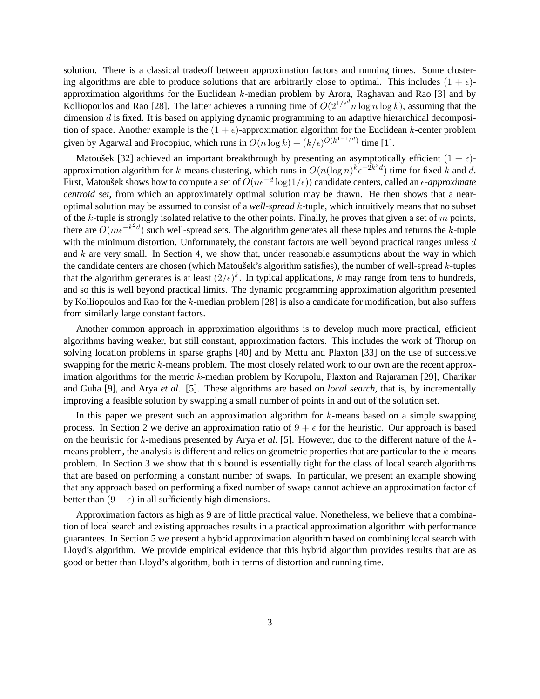solution. There is a classical tradeoff between approximation factors and running times. Some clustering algorithms are able to produce solutions that are arbitrarily close to optimal. This includes  $(1 + \epsilon)$ approximation algorithms for the Euclidean  $k$ -median problem by Arora, Raghavan and Rao [3] and by Kolliopoulos and Rao [28]. The latter achieves a running time of  $O(2^{1/\epsilon^d} n \log n \log k)$ , assuming that the dimension d is fixed. It is based on applying dynamic programming to an adaptive higrarchical decomposidimension  $d$  is fixed. It is based on applying dynamic programming to an adaptive hierarchical decomposition of space. Another example is the  $(1 + \epsilon)$ -approximation algorithm for the Euclidean k-center problem given by Agarwal and Procopiuc, which runs in  $O(n \log k) + (k/\epsilon)^{O(k^{1-1}/d)}$  time [1].

Matoušek [32] achieved an important breakthrough by presenting an asymptotically efficient  $(1 + \epsilon)$ approximation algorithm for k-means clustering, which runs in  $O(n(\log n)^k \epsilon^{-2k^2d})$  time for fixed k and d. First, Matoušek shows how to compute a set of  $O(n\epsilon^{-d}\log(1/\epsilon))$  candidate centers, called an  $\epsilon$ -*approximate centroid set*, from which an approximately optimal solution may be drawn. He then shows that a nearoptimal solution may be assumed to consist of a *well-spread* k-tuple, which intuitively means that no subset of the k-tuple is strongly isolated relative to the other points. Finally, he proves that given a set of  $m$  points, there are  $O(m\epsilon^{-k^2d})$  such well-spread sets. The algorithm generates all these tuples and returns the k-tuple with the minimum distortion. Unfortunately, the constant factors are well beyond practical ranges unless  $d$ and k are very small. In Section 4, we show that, under reasonable assumptions about the way in which the candidate centers are chosen (which Matousek's algorithm satisfies), the number of well-spread  $k$ -tuples that the algorithm generates is at least  $(2/\epsilon)^k$ . In typical applications, k may range from tens to hundreds, and so this is well beyond practical limits. The dynamic programming approximation algorithm presented by Kolliopoulos and Rao for the k-median problem [28] is also a candidate for modification, but also suffers from similarly large constant factors.

Another common approach in approximation algorithms is to develop much more practical, efficient algorithms having weaker, but still constant, approximation factors. This includes the work of Thorup on solving location problems in sparse graphs [40] and by Mettu and Plaxton [33] on the use of successive swapping for the metric  $k$ -means problem. The most closely related work to our own are the recent approximation algorithms for the metric k-median problem by Korupolu, Plaxton and Rajaraman [29], Charikar and Guha [9], and Arya *et al.* [5]. These algorithms are based on *local search*, that is, by incrementally improving a feasible solution by swapping a small number of points in and out of the solution set.

In this paper we present such an approximation algorithm for  $k$ -means based on a simple swapping process. In Section 2 we derive an approximation ratio of  $9 + \epsilon$  for the heuristic. Our approach is based on the heuristic for k-medians presented by Arya *et al.* [5]. However, due to the different nature of the kmeans problem, the analysis is different and relies on geometric properties that are particular to the k-means problem. In Section 3 we show that this bound is essentially tight for the class of local search algorithms that are based on performing a constant number of swaps. In particular, we present an example showing that any approach based on performing a fixed number of swaps cannot achieve an approximation factor of better than  $(9 - \epsilon)$  in all sufficiently high dimensions.

Approximation factors as high as 9 are of little practical value. Nonetheless, we believe that a combination of local search and existing approaches results in a practical approximation algorithm with performance guarantees. In Section 5 we present a hybrid approximation algorithm based on combining local search with Lloyd's algorithm. We provide empirical evidence that this hybrid algorithm provides results that are as good or better than Lloyd's algorithm, both in terms of distortion and running time.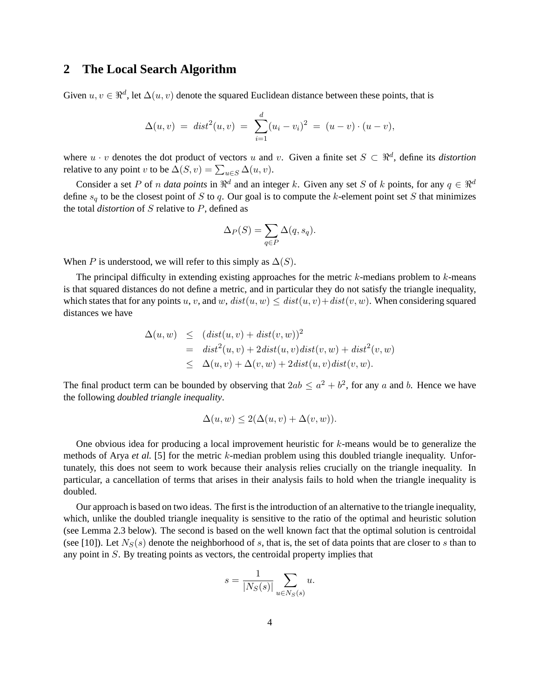### **2 The Local Search Algorithm**

Given  $u, v \in \mathbb{R}^d$ , let  $\Delta(u, v)$  denote the squared Euclidean distance between these points, that is

$$
\Delta(u, v) = dist^{2}(u, v) = \sum_{i=1}^{d} (u_{i} - v_{i})^{2} = (u - v) \cdot (u - v),
$$

where  $u \cdot v$  denotes the dot product of vectors u and v. Given a finite set  $S \subset \mathbb{R}^d$ , define its *distortion* relative to any point v to be  $\Delta(S, v) = \sum_{u \in S} \Delta(u, v)$ .

Consider a set P of n *data points* in  $\mathbb{R}^d$  and an integer k. Given any set S of k points, for any  $q \in \mathbb{R}^d$ define  $s_q$  to be the closest point of S to q. Our goal is to compute the k-element point set S that minimizes the total *distortion* of S relative to P, defined as

$$
\Delta_P(S) = \sum_{q \in P} \Delta(q, s_q).
$$

When P is understood, we will refer to this simply as  $\Delta(S)$ .

The principal difficulty in extending existing approaches for the metric  $k$ -medians problem to  $k$ -means is that squared distances do not define a metric, and in particular they do not satisfy the triangle inequality, which states that for any points u, v, and w,  $dist(u, w) \leq dist(u, v) + dist(v, w)$ . When considering squared distances we have

$$
\Delta(u, w) \leq (dist(u, v) + dist(v, w))^2
$$
  
=  $dist^2(u, v) + 2dist(u, v)dist(v, w) + dist^2(v, w)$   
 $\leq \Delta(u, v) + \Delta(v, w) + 2dist(u, v)dist(v, w).$ 

The final product term can be bounded by observing that  $2ab \le a^2 + b^2$ , for any a and b. Hence we have the following *doubled triangle inequality*.

$$
\Delta(u, w) \le 2(\Delta(u, v) + \Delta(v, w)).
$$

One obvious idea for producing a local improvement heuristic for k-means would be to generalize the methods of Arya *et al.* [5] for the metric k-median problem using this doubled triangle inequality. Unfortunately, this does not seem to work because their analysis relies crucially on the triangle inequality. In particular, a cancellation of terms that arises in their analysis fails to hold when the triangle inequality is doubled.

Our approach is based on two ideas. The first is the introduction of an alternative to the triangle inequality, which, unlike the doubled triangle inequality is sensitive to the ratio of the optimal and heuristic solution (see Lemma 2.3 below). The second is based on the well known fact that the optimal solution is centroidal (see [10]). Let  $N_S(s)$  denote the neighborhood of s, that is, the set of data points that are closer to s than to any point in S. By treating points as vectors, the centroidal property implies that

$$
s = \frac{1}{|N_S(s)|} \sum_{u \in N_S(s)} u.
$$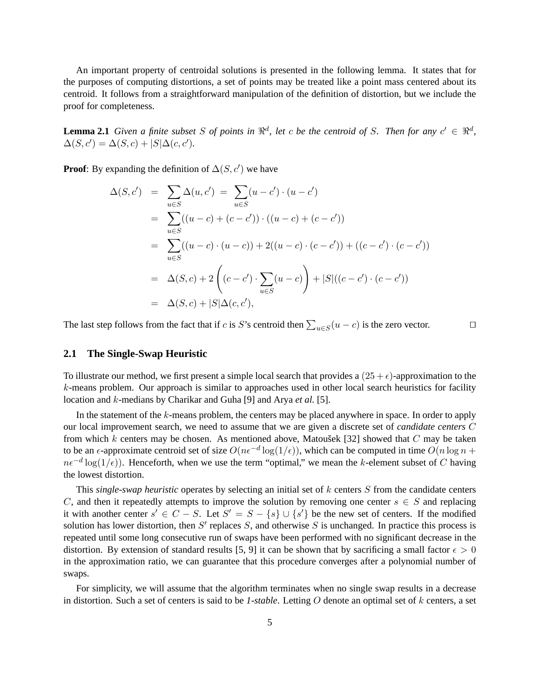An important property of centroidal solutions is presented in the following lemma. It states that for the purposes of computing distortions, a set of points may be treated like a point mass centered about its centroid. It follows from a straightforward manipulation of the definition of distortion, but we include the proof for completeness.

**Lemma 2.1** *Given a finite subset* S *of points in*  $\mathbb{R}^d$ , let *c be the centroid of* S. *Then for any*  $c' \in \mathbb{R}^d$ ,  $\Delta(S, c') = \Delta(S, c) + |S| \Delta(c, c').$ 

**Proof**: By expanding the definition of  $\Delta(S, c')$  we have

$$
\Delta(S, c') = \sum_{u \in S} \Delta(u, c') = \sum_{u \in S} (u - c') \cdot (u - c')
$$
  
= 
$$
\sum_{u \in S} ((u - c) + (c - c')) \cdot ((u - c) + (c - c'))
$$
  
= 
$$
\sum_{u \in S} ((u - c) \cdot (u - c)) + 2((u - c) \cdot (c - c')) + ((c - c') \cdot (c - c'))
$$
  
= 
$$
\Delta(S, c) + 2 \left( (c - c') \cdot \sum_{u \in S} (u - c) \right) + |S| ((c - c') \cdot (c - c'))
$$
  
= 
$$
\Delta(S, c) + |S| \Delta(c, c'),
$$

The last step follows from the fact that if c is S's centroid then  $\sum_{u \in S}(u - c)$  is the zero vector.

### **2.1 The Single-Swap Heuristic**

To illustrate our method, we first present a simple local search that provides a  $(25 + \epsilon)$ -approximation to the k-means problem. Our approach is similar to approaches used in other local search heuristics for facility location and k-medians by Charikar and Guha [9] and Arya *et al.* [5].

In the statement of the k-means problem, the centers may be placed anywhere in space. In order to apply our local improvement search, we need to assume that we are given a discrete set of *candidate centers* C from which k centers may be chosen. As mentioned above, Matousek [32] showed that  $C$  may be taken to be an  $\epsilon$ -approximate centroid set of size  $O(n\epsilon^{-d}\log(1/\epsilon))$ , which can be computed in time  $O(n\log n +$  $n\epsilon^{-d}\log(1/\epsilon)$ . Henceforth, when we use the term "optimal," we mean the k-element subset of C having the lowest distortion.

This *single-swap heuristic* operates by selecting an initial set of k centers S from the candidate centers C, and then it repeatedly attempts to improve the solution by removing one center  $s \in S$  and replacing it with another center  $s' \in C - S$ . Let  $S' = S - \{s\} \cup \{s'\}$  be the new set of centers. If the modified solution has lower distortion, then  $S'$  replaces S, and otherwise S is unchanged. In practice this process is solution has lower distortion, then  $S'$  replaces  $S$ , and otherwise S is unchanged. In practice this process is repeated until some long consecutive run of swaps have been performed with no significant decrease in the distortion. By extension of standard results [5, 9] it can be shown that by sacrificing a small factor  $\epsilon > 0$ in the approximation ratio, we can guarantee that this procedure converges after a polynomial number of swaps.

For simplicity, we will assume that the algorithm terminates when no single swap results in a decrease in distortion. Such a set of centers is said to be *1-stable*. Letting O denote an optimal set of k centers, a set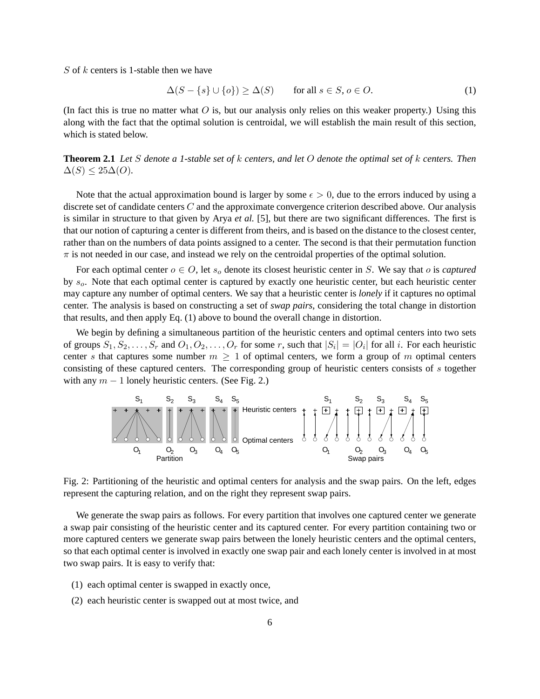S of  $k$  centers is 1-stable then we have

$$
\Delta(S - \{s\} \cup \{o\}) \ge \Delta(S) \quad \text{for all } s \in S, o \in O. \tag{1}
$$

(In fact this is true no matter what  $O$  is, but our analysis only relies on this weaker property.) Using this along with the fact that the optimal solution is centroidal, we will establish the main result of this section, which is stated below.

**Theorem 2.1** *Let* S *denote a 1-stable set of* k *centers, and let* O *denote the optimal set of* k *centers. Then*  $\Delta(S) \leq 25\Delta(O)$ .

Note that the actual approximation bound is larger by some  $\epsilon > 0$ , due to the errors induced by using a discrete set of candidate centers C and the approximate convergence criterion described above. Our analysis is similar in structure to that given by Arya *et al.* [5], but there are two significant differences. The first is that our notion of capturing a center is different from theirs, and is based on the distance to the closest center, rather than on the numbers of data points assigned to a center. The second is that their permutation function  $\pi$  is not needed in our case, and instead we rely on the centroidal properties of the optimal solution.

For each optimal center  $o \in O$ , let  $s_o$  denote its closest heuristic center in S. We say that o is *captured* by  $s<sub>o</sub>$ . Note that each optimal center is captured by exactly one heuristic center, but each heuristic center may capture any number of optimal centers. We say that a heuristic center is *lonely* if it captures no optimal center. The analysis is based on constructing a set of *swap pairs*, considering the total change in distortion that results, and then apply Eq. (1) above to bound the overall change in distortion.

We begin by defining a simultaneous partition of the heuristic centers and optimal centers into two sets of groups  $S_1, S_2, \ldots, S_r$  and  $O_1, O_2, \ldots, O_r$  for some r, such that  $|S_i| = |O_i|$  for all i. For each heuristic center s that captures some number  $m \geq 1$  of optimal centers, we form a group of m optimal centers consisting of these captured centers. The corresponding group of heuristic centers consists of s together with any  $m - 1$  lonely heuristic centers. (See Fig. 2.)



Fig. 2: Partitioning of the heuristic and optimal centers for analysis and the swap pairs. On the left, edges represent the capturing relation, and on the right they represent swap pairs.

We generate the swap pairs as follows. For every partition that involves one captured center we generate a swap pair consisting of the heuristic center and its captured center. For every partition containing two or more captured centers we generate swap pairs between the lonely heuristic centers and the optimal centers, so that each optimal center is involved in exactly one swap pair and each lonely center is involved in at most two swap pairs. It is easy to verify that:

- (1) each optimal center is swapped in exactly once,
- (2) each heuristic center is swapped out at most twice, and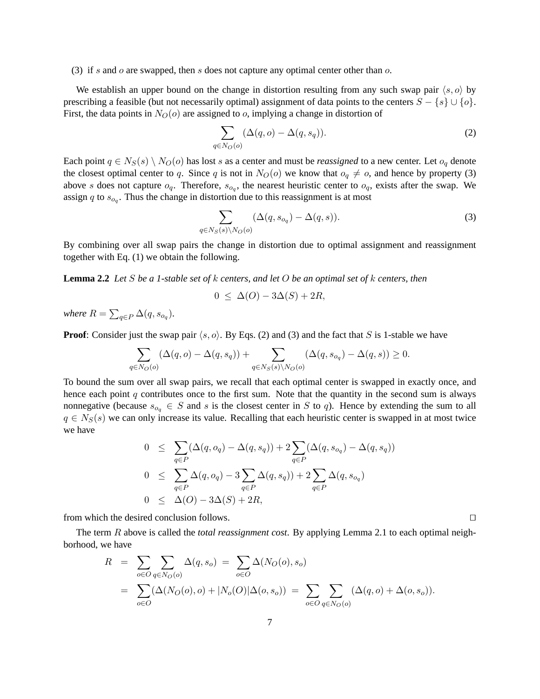#### (3) if s and o are swapped, then s does not capture any optimal center other than o.

We establish an upper bound on the change in distortion resulting from any such swap pair  $\langle s, o \rangle$  by prescribing a feasible (but not necessarily optimal) assignment of data points to the centers  $S - \{s\} \cup \{o\}$ . First, the data points in  $N_O(o)$  are assigned to o, implying a change in distortion of

$$
\sum_{q \in N_O(o)} (\Delta(q, o) - \Delta(q, s_q)).
$$
\n(2)

Each point  $q \in N_S(s) \setminus N_O(o)$  has lost s as a center and must be *reassigned* to a new center. Let  $o_q$  denote the closest optimal center to q. Since q is not in  $N_O(o)$  we know that  $o_q \neq o$ , and hence by property (3) above s does not capture  $o_q$ . Therefore,  $s_{o_q}$ , the nearest heuristic center to  $o_q$ , exists after the swap. We assign q to  $s_{o_q}$ . Thus the change in distortion due to this reassignment is at most

$$
\sum_{q \in N_S(s) \setminus N_O(o)} (\Delta(q, s_{o_q}) - \Delta(q, s)).
$$
\n(3)

By combining over all swap pairs the change in distortion due to optimal assignment and reassignment together with Eq. (1) we obtain the following.

**Lemma 2.2** *Let* S *be a 1-stable set of* k *centers, and let* O *be an optimal set of* k *centers, then*

$$
0 \leq \Delta(O) - 3\Delta(S) + 2R,
$$

where  $R = \sum_{q \in P} \Delta(q, s_{o_q})$ .

**Proof**: Consider just the swap pair  $\langle s, o \rangle$ . By Eqs. (2) and (3) and the fact that S is 1-stable we have

$$
\sum_{q \in N_O(o)} (\Delta(q, o) - \Delta(q, s_q)) + \sum_{q \in N_S(s) \setminus N_O(o)} (\Delta(q, s_{o_q}) - \Delta(q, s)) \ge 0.
$$

To bound the sum over all swap pairs, we recall that each optimal center is swapped in exactly once, and hence each point  $q$  contributes once to the first sum. Note that the quantity in the second sum is always nonnegative (because  $s_{o_q} \in S$  and s is the closest center in S to q). Hence by extending the sum to all  $q \in N_S(s)$  we can only increase its value. Recalling that each heuristic center is swapped in at most twice we have

$$
0 \leq \sum_{q \in P} (\Delta(q, o_q) - \Delta(q, s_q)) + 2 \sum_{q \in P} (\Delta(q, s_{o_q}) - \Delta(q, s_q))
$$
  
\n
$$
0 \leq \sum_{q \in P} \Delta(q, o_q) - 3 \sum_{q \in P} \Delta(q, s_q)) + 2 \sum_{q \in P} \Delta(q, s_{o_q})
$$
  
\n
$$
0 \leq \Delta(O) - 3\Delta(S) + 2R,
$$

from which the desired conclusion follows.  $\Box$ 

The term R above is called the *total reassignment cost*. By applying Lemma 2.1 to each optimal neighborhood, we have

$$
R = \sum_{o \in O} \sum_{q \in N_O(o)} \Delta(q, s_o) = \sum_{o \in O} \Delta(N_O(o), s_o)
$$
  
= 
$$
\sum_{o \in O} (\Delta(N_O(o), o) + |N_o(O)|\Delta(o, s_o)) = \sum_{o \in O} \sum_{q \in N_O(o)} (\Delta(q, o) + \Delta(o, s_o)).
$$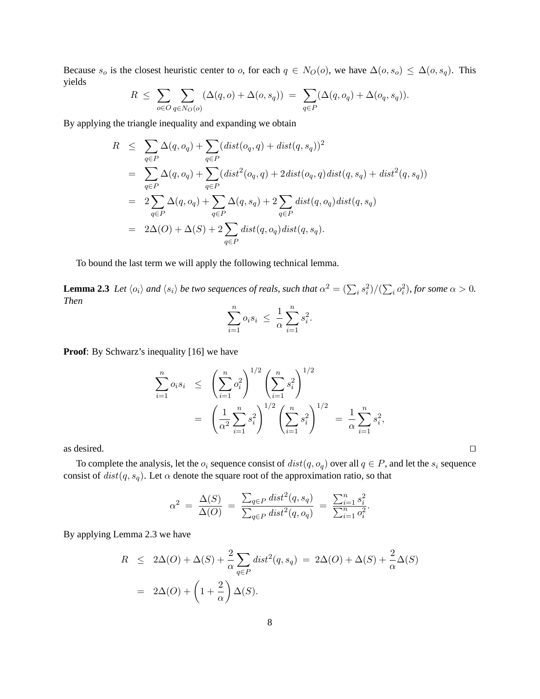Because  $s_o$  is the closest heuristic center to  $o$ , for each  $q \in N_O(o)$ , we have  $\Delta(o, s_o) \leq \Delta(o, s_q)$ . This yields

$$
R \leq \sum_{o \in O} \sum_{q \in N_O(o)} (\Delta(q, o) + \Delta(o, s_q)) = \sum_{q \in P} (\Delta(q, o_q) + \Delta(o_q, s_q)).
$$

By applying the triangle inequality and expanding we obtain

$$
R \leq \sum_{q \in P} \Delta(q, o_q) + \sum_{q \in P} (dist(o_q, q) + dist(q, s_q))^2
$$
  
= 
$$
\sum_{q \in P} \Delta(q, o_q) + \sum_{q \in P} (dist^2(o_q, q) + 2dist(o_q, q)dist(q, s_q) + dist^2(q, s_q))
$$
  
= 
$$
2 \sum_{q \in P} \Delta(q, o_q) + \sum_{q \in P} \Delta(q, s_q) + 2 \sum_{q \in P} dist(q, o_q) dist(q, s_q)
$$
  
= 
$$
2\Delta(O) + \Delta(S) + 2 \sum_{q \in P} dist(q, o_q) dist(q, s_q).
$$

To bound the last term we will apply the following technical lemma.

**Lemma 2.3** *Let*  $\langle o_i \rangle$  *and*  $\langle s_i \rangle$  *be two sequences of reals, such that*  $\alpha^2 = (\sum_i s_i^2)/(\sum_i o_i^2)$ *, for some*  $\alpha > 0$ *. Then Then*

$$
\sum_{i=1}^n o_i s_i \leq \frac{1}{\alpha} \sum_{i=1}^n s_i^2.
$$

**Proof**: By Schwarz's inequality [16] we have

$$
\sum_{i=1}^{n} o_i s_i \le \left(\sum_{i=1}^{n} o_i^2\right)^{1/2} \left(\sum_{i=1}^{n} s_i^2\right)^{1/2} = \left(\frac{1}{\alpha^2} \sum_{i=1}^{n} s_i^2\right)^{1/2} \left(\sum_{i=1}^{n} s_i^2\right)^{1/2} = \frac{1}{\alpha} \sum_{i=1}^{n} s_i^2,
$$

as desired.  $\Box$ 

To complete the analysis, let the  $o_i$  sequence consist of  $dist(q, o_q)$  over all  $q \in P$ , and let the  $s_i$  sequence consist of  $dist(q, s_q)$ . Let  $\alpha$  denote the square root of the approximation ratio, so that

$$
\alpha^2 = \frac{\Delta(S)}{\Delta(O)} = \frac{\sum_{q \in P} dist^2(q, s_q)}{\sum_{q \in P} dist^2(q, o_q)} = \frac{\sum_{i=1}^n s_i^2}{\sum_{i=1}^n o_i^2}.
$$

By applying Lemma 2.3 we have

$$
R \le 2\Delta(O) + \Delta(S) + \frac{2}{\alpha} \sum_{q \in P} dist^2(q, s_q) = 2\Delta(O) + \Delta(S) + \frac{2}{\alpha} \Delta(S)
$$
  
=  $2\Delta(O) + \left(1 + \frac{2}{\alpha}\right) \Delta(S).$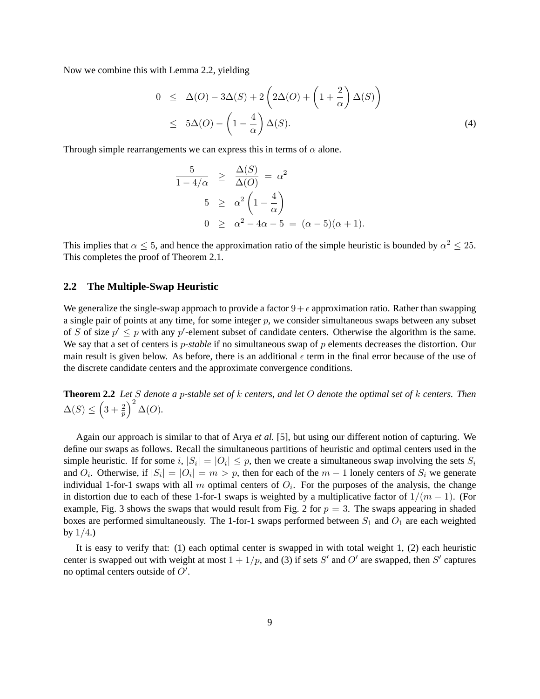Now we combine this with Lemma 2.2, yielding

$$
0 \leq \Delta(O) - 3\Delta(S) + 2\left(2\Delta(O) + \left(1 + \frac{2}{\alpha}\right)\Delta(S)\right)
$$
  

$$
\leq 5\Delta(O) - \left(1 - \frac{4}{\alpha}\right)\Delta(S).
$$
 (4)

Through simple rearrangements we can express this in terms of  $\alpha$  alone.

$$
\frac{5}{1-4/\alpha} \ge \frac{\Delta(S)}{\Delta(O)} = \alpha^2
$$
  

$$
5 \ge \alpha^2 \left(1 - \frac{4}{\alpha}\right)
$$
  

$$
0 \ge \alpha^2 - 4\alpha - 5 = (\alpha - 5)(\alpha + 1).
$$

This implies that  $\alpha \leq 5$ , and hence the approximation ratio of the simple heuristic is bounded by  $\alpha^2 \leq 25$ . This completes the proof of Theorem 2.1.

### **2.2 The Multiple-Swap Heuristic**

We generalize the single-swap approach to provide a factor  $9 + \epsilon$  approximation ratio. Rather than swapping a single pair of points at any time, for some integer  $p$ , we consider simultaneous swaps between any subset of S of size  $p' \leq p$  with any p'-element subset of candidate centers. Otherwise the algorithm is the same. We say that a set of centers is *p-stable* if no simultaneous swap of *p* elements decreases the distortion. Our main result is given below. As before, there is an additional  $\epsilon$  term in the final error because of the use of the discrete candidate centers and the approximate convergence conditions.

**Theorem 2.2** *Let* S *denote a* p*-stable set of* k *centers, and let* O *denote the optimal set of* k *centers. Then*  $\Delta(S) \leq \left(3 + \frac{2}{p}\right)^2 \Delta(O).$ 

Again our approach is similar to that of Arya *et al.* [5], but using our different notion of capturing. We define our swaps as follows. Recall the simultaneous partitions of heuristic and optimal centers used in the simple heuristic. If for some i,  $|S_i| = |O_i| \leq p$ , then we create a simultaneous swap involving the sets  $S_i$ and  $O_i$ . Otherwise, if  $|S_i| = |O_i| = m > p$ , then for each of the  $m - 1$  lonely centers of  $S_i$  we generate individual 1-for-1 swaps with all m optimal centers of  $O_i$ . For the purposes of the analysis, the change in distortion due to each of these 1-for-1 swaps is weighted by a multiplicative factor of  $1/(m-1)$ . (For example, Fig. 3 shows the swaps that would result from Fig. 2 for  $p = 3$ . The swaps appearing in shaded boxes are performed simultaneously. The 1-for-1 swaps performed between  $S_1$  and  $O_1$  are each weighted by  $1/4.$ )

It is easy to verify that: (1) each optimal center is swapped in with total weight 1, (2) each heuristic center is swapped out with weight at most  $1+1/p$ , and (3) if sets S' and O' are swapped, then S' captures no optimal centers outside of  $O'$ .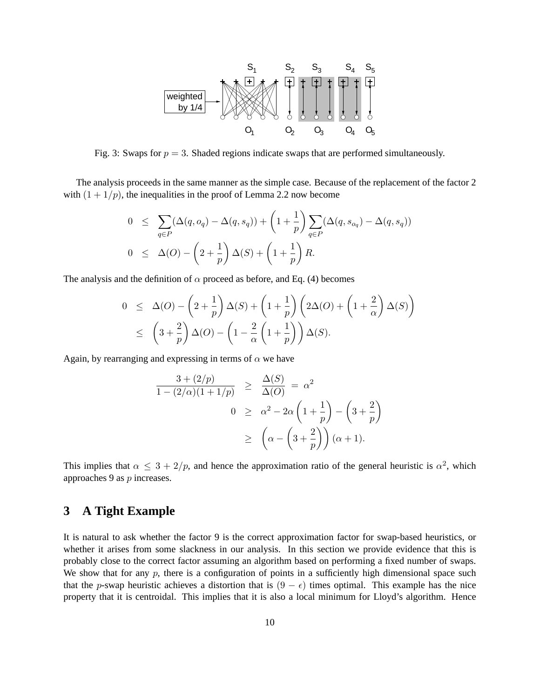

Fig. 3: Swaps for  $p = 3$ . Shaded regions indicate swaps that are performed simultaneously.

The analysis proceeds in the same manner as the simple case. Because of the replacement of the factor 2 with  $(1 + 1/p)$ , the inequalities in the proof of Lemma 2.2 now become

$$
0 \leq \sum_{q \in P} (\Delta(q, o_q) - \Delta(q, s_q)) + \left(1 + \frac{1}{p}\right) \sum_{q \in P} (\Delta(q, s_{o_q}) - \Delta(q, s_q))
$$
  

$$
0 \leq \Delta(O) - \left(2 + \frac{1}{p}\right) \Delta(S) + \left(1 + \frac{1}{p}\right) R.
$$

The analysis and the definition of  $\alpha$  proceed as before, and Eq. (4) becomes

$$
0 \leq \Delta(O) - \left(2 + \frac{1}{p}\right) \Delta(S) + \left(1 + \frac{1}{p}\right) \left(2\Delta(O) + \left(1 + \frac{2}{\alpha}\right) \Delta(S)\right)
$$
  

$$
\leq \left(3 + \frac{2}{p}\right) \Delta(O) - \left(1 - \frac{2}{\alpha}\left(1 + \frac{1}{p}\right)\right) \Delta(S).
$$

Again, by rearranging and expressing in terms of  $\alpha$  we have

$$
\frac{3 + (2/p)}{1 - (2/\alpha)(1 + 1/p)} \ge \frac{\Delta(S)}{\Delta(O)} = \alpha^2
$$
  

$$
0 \ge \alpha^2 - 2\alpha \left(1 + \frac{1}{p}\right) - \left(3 + \frac{2}{p}\right)
$$
  

$$
\ge \left(\alpha - \left(3 + \frac{2}{p}\right)\right)(\alpha + 1).
$$

This implies that  $\alpha \leq 3 + 2/p$ , and hence the approximation ratio of the general heuristic is  $\alpha^2$ , which approaches 9 as p increases.

# **3 A Tight Example**

It is natural to ask whether the factor 9 is the correct approximation factor for swap-based heuristics, or whether it arises from some slackness in our analysis. In this section we provide evidence that this is probably close to the correct factor assuming an algorithm based on performing a fixed number of swaps. We show that for any  $p$ , there is a configuration of points in a sufficiently high dimensional space such that the p-swap heuristic achieves a distortion that is  $(9 - \epsilon)$  times optimal. This example has the nice property that it is centroidal. This implies that it is also a local minimum for Lloyd's algorithm. Hence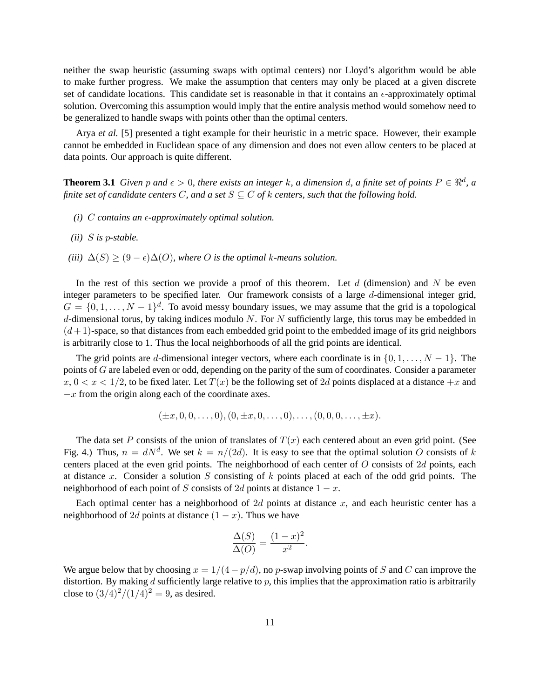neither the swap heuristic (assuming swaps with optimal centers) nor Lloyd's algorithm would be able to make further progress. We make the assumption that centers may only be placed at a given discrete set of candidate locations. This candidate set is reasonable in that it contains an  $\epsilon$ -approximately optimal solution. Overcoming this assumption would imply that the entire analysis method would somehow need to be generalized to handle swaps with points other than the optimal centers.

Arya *et al.* [5] presented a tight example for their heuristic in a metric space. However, their example cannot be embedded in Euclidean space of any dimension and does not even allow centers to be placed at data points. Our approach is quite different.

**Theorem 3.1** *Given* p and  $\epsilon > 0$ , there exists an integer k, a dimension d, a finite set of points  $P \in \mathbb{R}^d$ , a *finite set of candidate centers* C, and a set  $S \subseteq C$  of k centers, such that the following hold.

- *(i)*  $C$  *contains an*  $\epsilon$ *-approximately optimal solution.*
- *(ii)* S *is* p*-stable.*
- $(iii)$  ∆(S) ≥ (9  $\epsilon$ )∆(O)*, where* O *is the optimal k-means solution.*

In the rest of this section we provide a proof of this theorem. Let  $d$  (dimension) and  $N$  be even integer parameters to be specified later. Our framework consists of a large d-dimensional integer grid,  $G = \{0, 1, \ldots, N - 1\}^d$ . To avoid messy boundary issues, we may assume that the grid is a topological d-dimensional torus, by taking indices modulo  $N$ . For  $N$  sufficiently large, this torus may be embedded in  $(d+1)$ -space, so that distances from each embedded grid point to the embedded image of its grid neighbors is arbitrarily close to 1. Thus the local neighborhoods of all the grid points are identical.

The grid points are d-dimensional integer vectors, where each coordinate is in  $\{0, 1, \ldots, N - 1\}$ . The points of G are labeled even or odd, depending on the parity of the sum of coordinates. Consider a parameter  $x, 0 < x < 1/2$ , to be fixed later. Let  $T(x)$  be the following set of 2d points displaced at a distance  $+x$  and  $-x$  from the origin along each of the coordinate axes.

$$
(\pm x, 0, 0, \ldots, 0), (0, \pm x, 0, \ldots, 0), \ldots, (0, 0, 0, \ldots, \pm x).
$$

The data set P consists of the union of translates of  $T(x)$  each centered about an even grid point. (See Fig. 4.) Thus,  $n = dN^d$ . We set  $k = n/(2d)$ . It is easy to see that the optimal solution O consists of k centers placed at the even grid points. The neighborhood of each center of  $O$  consists of  $2d$  points, each at distance x. Consider a solution  $S$  consisting of  $k$  points placed at each of the odd grid points. The neighborhood of each point of S consists of 2d points at distance  $1 - x$ .

Each optimal center has a neighborhood of 2d points at distance x, and each heuristic center has a neighborhood of 2d points at distance  $(1 - x)$ . Thus we have

$$
\frac{\Delta(S)}{\Delta(O)} = \frac{(1-x)^2}{x^2}.
$$

We argue below that by choosing  $x = 1/(4 - p/d)$ , no p-swap involving points of S and C can improve the distortion. By making  $d$  sufficiently large relative to  $p$ , this implies that the approximation ratio is arbitrarily close to  $(3/4)^2/(1/4)^2 = 9$ , as desired.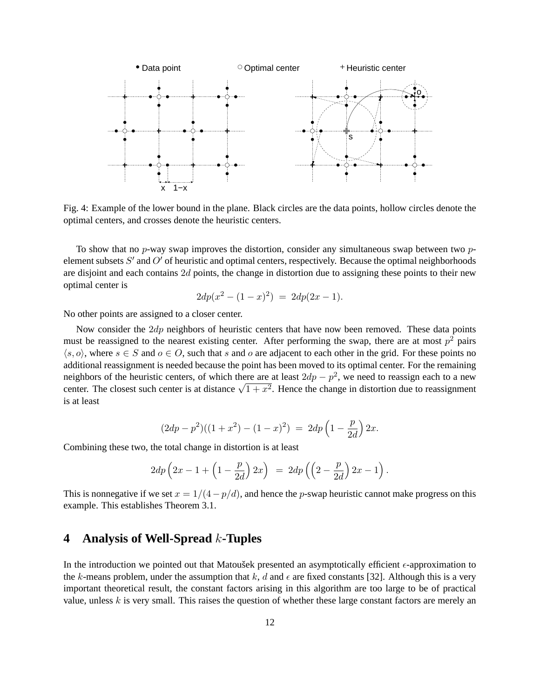

Fig. 4: Example of the lower bound in the plane. Black circles are the data points, hollow circles denote the optimal centers, and crosses denote the heuristic centers.

To show that no  $p$ -way swap improves the distortion, consider any simultaneous swap between two  $p$ element subsets  $S'$  and  $O'$  of heuristic and optimal centers, respectively. Because the optimal neighborhoods are disjoint and each contains  $2d$  points, the change in distortion due to assigning these points to their new optimal center is

$$
2dp(x^{2} - (1 - x)^{2}) = 2dp(2x - 1).
$$

No other points are assigned to a closer center.

Now consider the 2dp neighbors of heuristic centers that have now been removed. These data points must be reassigned to the nearest existing center. After performing the swap, there are at most  $p<sup>2</sup>$  pairs  $\langle s, o \rangle$ , where  $s \in S$  and  $o \in O$ , such that s and o are adjacent to each other in the grid. For these points no additional reassignment is needed because the point has been moved to its optimal center. For the remaining neighbors of the heuristic centers, of which there are at least  $2dp - p^2$ , we need to reassign each to a new exercise of the neuristic centers, or which there are at least  $\angle ap - p$ , we need to reassign each to a new<br>center. The closest such center is at distance  $\sqrt{1 + x^2}$ . Hence the change in distortion due to reassignment<br>is a is at least

$$
(2dp - p2)((1 + x2) - (1 - x)2) = 2dp\left(1 - \frac{p}{2d}\right)2x.
$$

Combining these two, the total change in distortion is at least

$$
2dp\left(2x-1+\left(1-\frac{p}{2d}\right)2x\right) = 2dp\left(\left(2-\frac{p}{2d}\right)2x-1\right).
$$

This is nonnegative if we set  $x = 1/(4 - p/d)$ , and hence the p-swap heuristic cannot make progress on this example. This establishes Theorem 3.1.

### **4 Analysis of Well-Spread** k**-Tuples**

In the introduction we pointed out that Matousek presented an asymptotically efficient  $\epsilon$ -approximation to the k-means problem, under the assumption that k, d and  $\epsilon$  are fixed constants [32]. Although this is a very important theoretical result, the constant factors arising in this algorithm are too large to be of practical value, unless  $k$  is very small. This raises the question of whether these large constant factors are merely an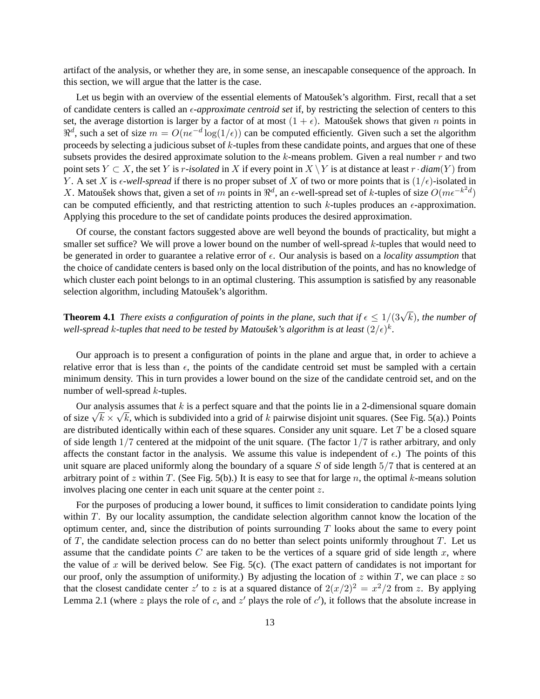artifact of the analysis, or whether they are, in some sense, an inescapable consequence of the approach. In this section, we will argue that the latter is the case.

Let us begin with an overview of the essential elements of Matoušek's algorithm. First, recall that a set of candidate centers is called an *-approximate centroid set* if, by restricting the selection of centers to this set, the average distortion is larger by a factor of at most  $(1 + \epsilon)$ . Matousek shows that given *n* points in  $\mathbb{R}^d$ , such a set of size  $m = O(n\epsilon^{-d}\log(1/\epsilon))$  can be computed efficiently. Given such a set the algorithm proceeds by selecting a judicious subset of k-tuples from these candidate points, and argues that one of these subsets provides the desired approximate solution to the  $k$ -means problem. Given a real number  $r$  and two point sets  $Y \subset X$ , the set Y is r-isolated in X if every point in  $X \setminus Y$  is at distance at least  $r \cdot diam(Y)$  from Y. A set X is  $\epsilon$ -well-spread if there is no proper subset of X of two or more points that is  $(1/\epsilon)$ -isolated in X. Matousek shows that, given a set of m points in  $\mathbb{R}^d$ , an  $\epsilon$ -well-spread set of k-tuples of size  $O(m\epsilon^{-k^2d})$ can be computed efficiently, and that restricting attention to such  $k$ -tuples produces an  $\epsilon$ -approximation. Applying this procedure to the set of candidate points produces the desired approximation.

Of course, the constant factors suggested above are well beyond the bounds of practicality, but might a smaller set suffice? We will prove a lower bound on the number of well-spread k-tuples that would need to be generated in order to guarantee a relative error of  $\epsilon$ . Our analysis is based on a *locality assumption* that the choice of candidate centers is based only on the local distribution of the points, and has no knowledge of which cluster each point belongs to in an optimal clustering. This assumption is satisfied by any reasonable selection algorithm, including Matoušek's algorithm.

**Theorem 4.1** *There exists a configuration of points in the plane, such that if*  $\epsilon \leq 1/(3\sqrt{k})$ *, the number of* well spread k tuples that need to be tested by Matoušek's algorithm is at least  $(2/\epsilon)^k$ *well-spread* k-tuples that need to be tested by Matoušek's algorithm is at least  $(2/\epsilon)^k$ .

Our approach is to present a configuration of points in the plane and argue that, in order to achieve a relative error that is less than  $\epsilon$ , the points of the candidate centroid set must be sampled with a certain minimum density. This in turn provides a lower bound on the size of the candidate centroid set, and on the number of well-spread k-tuples.

Our analysis assumes that  $k$  is a perfect square and that the points lie in a 2-dimensional square domain Our analysis assumes that  $k$  is a perfect square and that the points he in a 2-dimensional square domain of size  $\sqrt{k} \times \sqrt{k}$ , which is subdivided into a grid of k pairwise disjoint unit squares. (See Fig. 5(a).) Points are distributed identically within each of these squares. Consider any unit square. Let  $T$  be a closed square of side length 1/7 centered at the midpoint of the unit square. (The factor 1/7 is rather arbitrary, and only affects the constant factor in the analysis. We assume this value is independent of  $\epsilon$ .) The points of this unit square are placed uniformly along the boundary of a square  $S$  of side length  $5/7$  that is centered at an arbitrary point of z within T. (See Fig. 5(b).) It is easy to see that for large n, the optimal k-means solution involves placing one center in each unit square at the center point z.

For the purposes of producing a lower bound, it suffices to limit consideration to candidate points lying within T. By our locality assumption, the candidate selection algorithm cannot know the location of the optimum center, and, since the distribution of points surrounding  $T$  looks about the same to every point of  $T$ , the candidate selection process can do no better than select points uniformly throughout  $T$ . Let us assume that the candidate points  $C$  are taken to be the vertices of a square grid of side length  $x$ , where the value of x will be derived below. See Fig.  $5(c)$ . (The exact pattern of candidates is not important for our proof, only the assumption of uniformity.) By adjusting the location of  $z$  within  $T$ , we can place  $z$  so that the closest candidate center z' to z is at a squared distance of  $2(x/2)^2 = x^2/2$  from z. By applying Lemma 2.1 (where z plays the role of c, and  $z'$  plays the role of  $c'$ ), it follows that the absolute increase in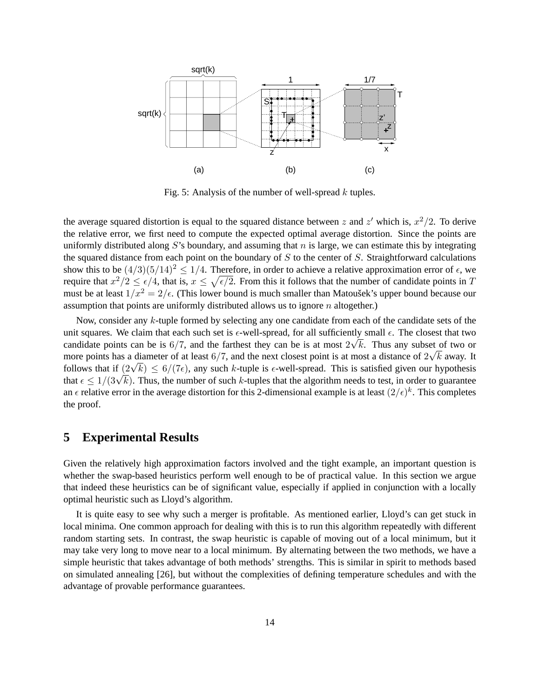

Fig. 5: Analysis of the number of well-spread  $k$  tuples.

the average squared distortion is equal to the squared distance between z and z' which is,  $x^2/2$ . To derive the relative error, we first need to compute the expected optimal average distortion. Since the points are uniformly distributed along  $S$ 's boundary, and assuming that  $n$  is large, we can estimate this by integrating the squared distance from each point on the boundary of  $S$  to the center of  $S$ . Straightforward calculations show this to be  $(4/3)(5/14)^2 \le 1/4$ . Therefore, in order to achieve a relative approximation error of  $\epsilon$ , we require that  $x^2/2 \le \epsilon/4$ , that is,  $x \le \sqrt{\epsilon/2}$ . From this it follows that the number of candidate points in T must be at least  $1/x^2 = 2/\epsilon$ . (This lower bound is much smaller than Matoušek's upper bound because our assumption that points are uniformly distributed allows us to ignore  $n$  altogether.)

Now, consider any k-tuple formed by selecting any one candidate from each of the candidate sets of the unit squares. We claim that each such set is  $\epsilon$ -well-spread, for all sufficiently small  $\epsilon$ . The closest that two candidate points can be is  $6/7$ , and the farthest they can be is at most  $2\sqrt{k}$ . Thus any subset of two or<br>more points has a diameter of at least  $6/7$  and the next closest point is at most a distance of  $2\sqrt{k}$  away. I more points has a diameter of at least  $6/7$ , and the next closest point is at most a distance of  $2\sqrt{k}$  away. It follows that if  $(2\sqrt{k}) \le 6/(7\epsilon)$  any such k tuple is  $\epsilon$  well spread. This is satisfied given our hypoth follows that if  $(2\sqrt{k}) \le 6/(7\epsilon)$ , any such k-tuple is  $\epsilon$ -well-spread. This is satisfied given our hypothesis that  $\epsilon \le 1/(2\sqrt{k})$ . Thus the number of such k-tuple is  $\epsilon$ -well-spread. This is satisfied given our hypothe that  $\epsilon \leq 1/(3\sqrt{k})$ . Thus, the number of such k-tuple is  $\epsilon$ -wen-spread. This is satisfied given our hypothesis that  $\epsilon \leq 1/(3\sqrt{k})$ . Thus, the number of such k-tuples that the algorithm needs to test, in order to guara an  $\epsilon$  relative error in the average distortion for this 2-dimensional example is at least  $(2/\epsilon)^k$ . This completes the proof.

## **5 Experimental Results**

Given the relatively high approximation factors involved and the tight example, an important question is whether the swap-based heuristics perform well enough to be of practical value. In this section we argue that indeed these heuristics can be of significant value, especially if applied in conjunction with a locally optimal heuristic such as Lloyd's algorithm.

It is quite easy to see why such a merger is profitable. As mentioned earlier, Lloyd's can get stuck in local minima. One common approach for dealing with this is to run this algorithm repeatedly with different random starting sets. In contrast, the swap heuristic is capable of moving out of a local minimum, but it may take very long to move near to a local minimum. By alternating between the two methods, we have a simple heuristic that takes advantage of both methods' strengths. This is similar in spirit to methods based on simulated annealing [26], but without the complexities of defining temperature schedules and with the advantage of provable performance guarantees.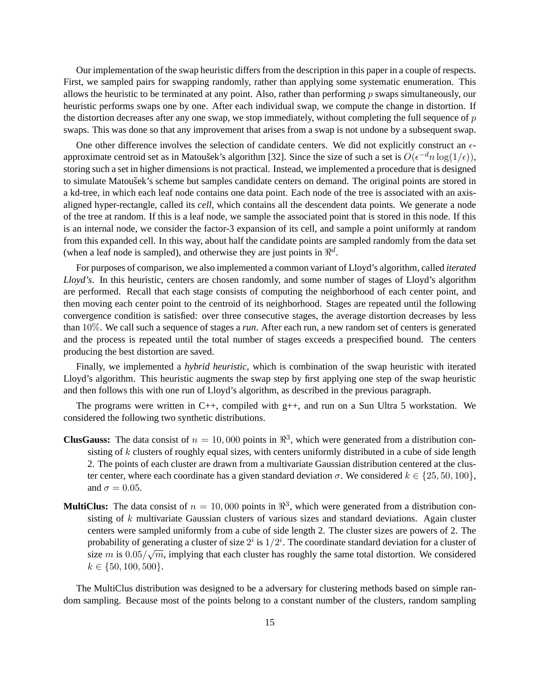Our implementation of the swap heuristic differs from the description in this paper in a couple of respects. First, we sampled pairs for swapping randomly, rather than applying some systematic enumeration. This allows the heuristic to be terminated at any point. Also, rather than performing  $p$  swaps simultaneously, our heuristic performs swaps one by one. After each individual swap, we compute the change in distortion. If the distortion decreases after any one swap, we stop immediately, without completing the full sequence of  $p$ swaps. This was done so that any improvement that arises from a swap is not undone by a subsequent swap.

One other difference involves the selection of candidate centers. We did not explicitly construct an  $\epsilon$ approximate centroid set as in Matousek's algorithm [32]. Since the size of such a set is  $O(\epsilon^{-d} n \log(1/\epsilon))$ , storing such a set in higher dimensions is not practical. Instead, we implemented a procedure that is designed to simulate Matoušek's scheme but samples candidate centers on demand. The original points are stored in a kd-tree, in which each leaf node contains one data point. Each node of the tree is associated with an axisaligned hyper-rectangle, called its *cell*, which contains all the descendent data points. We generate a node of the tree at random. If this is a leaf node, we sample the associated point that is stored in this node. If this is an internal node, we consider the factor-3 expansion of its cell, and sample a point uniformly at random from this expanded cell. In this way, about half the candidate points are sampled randomly from the data set (when a leaf node is sampled), and otherwise they are just points in  $\mathbb{R}^d$ .

For purposes of comparison, we also implemented a common variant of Lloyd's algorithm, called *iterated Lloyd's*. In this heuristic, centers are chosen randomly, and some number of stages of Lloyd's algorithm are performed. Recall that each stage consists of computing the neighborhood of each center point, and then moving each center point to the centroid of its neighborhood. Stages are repeated until the following convergence condition is satisfied: over three consecutive stages, the average distortion decreases by less than 10%. We call such a sequence of stages a *run*. After each run, a new random set of centers is generated and the process is repeated until the total number of stages exceeds a prespecified bound. The centers producing the best distortion are saved.

Finally, we implemented a *hybrid heuristic*, which is combination of the swap heuristic with iterated Lloyd's algorithm. This heuristic augments the swap step by first applying one step of the swap heuristic and then follows this with one run of Lloyd's algorithm, as described in the previous paragraph.

The programs were written in  $C_{++}$ , compiled with  $g_{++}$ , and run on a Sun Ultra 5 workstation. We considered the following two synthetic distributions.

- **ClusGauss:** The data consist of  $n = 10,000$  points in  $\mathbb{R}^3$ , which were generated from a distribution consisting of  $k$  clusters of roughly equal sizes, with centers uniformly distributed in a cube of side length 2. The points of each cluster are drawn from a multivariate Gaussian distribution centered at the cluster center, where each coordinate has a given standard deviation  $\sigma$ . We considered  $k \in \{25, 50, 100\},\$ and  $\sigma = 0.05$ .
- **MultiClus:** The data consist of  $n = 10,000$  points in  $\mathbb{R}^3$ , which were generated from a distribution consisting of  $k$  multivariate Gaussian clusters of various sizes and standard deviations. Again cluster centers were sampled uniformly from a cube of side length 2. The cluster sizes are powers of 2. The probability of generating a cluster of size  $2^i$  is  $1/2^i$ . The coordinate standard deviation for a cluster of size m is 0.05/ $\sqrt{m}$  implying that each cluster has roughly the same total distortion. We considered probability of generating a cluster of size 2 is  $1/2$ . The coordinate standard deviation for a cluster of size m is  $0.05/\sqrt{m}$ , implying that each cluster has roughly the same total distortion. We considered  $k \in [50, 10$  $k \in \{50, 100, 500\}.$

The MultiClus distribution was designed to be a adversary for clustering methods based on simple random sampling. Because most of the points belong to a constant number of the clusters, random sampling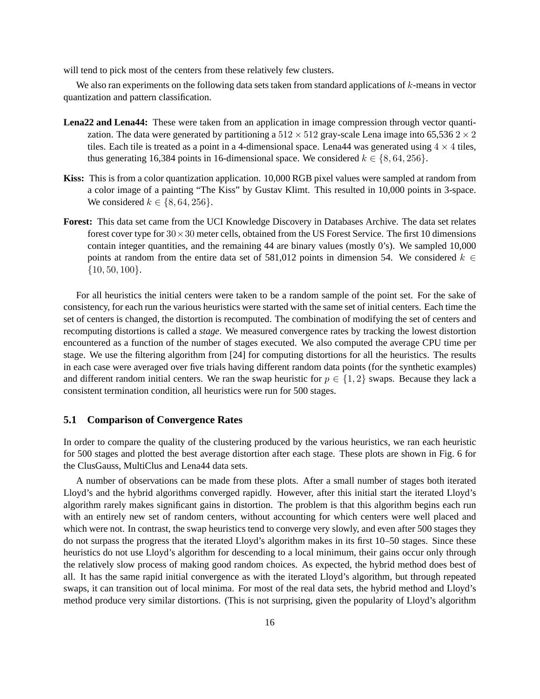will tend to pick most of the centers from these relatively few clusters.

We also ran experiments on the following data sets taken from standard applications of k-means in vector quantization and pattern classification.

- **Lena22 and Lena44:** These were taken from an application in image compression through vector quantization. The data were generated by partitioning a  $512 \times 512$  gray-scale Lena image into 65,536  $2 \times 2$ tiles. Each tile is treated as a point in a 4-dimensional space. Lena44 was generated using  $4 \times 4$  tiles, thus generating 16,384 points in 16-dimensional space. We considered  $k \in \{8, 64, 256\}$ .
- **Kiss:** This is from a color quantization application. 10,000 RGB pixel values were sampled at random from a color image of a painting "The Kiss" by Gustav Klimt. This resulted in 10,000 points in 3-space. We considered  $k \in \{8, 64, 256\}.$
- **Forest:** This data set came from the UCI Knowledge Discovery in Databases Archive. The data set relates forest cover type for  $30 \times 30$  meter cells, obtained from the US Forest Service. The first 10 dimensions contain integer quantities, and the remaining 44 are binary values (mostly 0's). We sampled 10,000 points at random from the entire data set of 581,012 points in dimension 54. We considered  $k \in$  $\{10, 50, 100\}.$

For all heuristics the initial centers were taken to be a random sample of the point set. For the sake of consistency, for each run the various heuristics were started with the same set of initial centers. Each time the set of centers is changed, the distortion is recomputed. The combination of modifying the set of centers and recomputing distortions is called a *stage*. We measured convergence rates by tracking the lowest distortion encountered as a function of the number of stages executed. We also computed the average CPU time per stage. We use the filtering algorithm from [24] for computing distortions for all the heuristics. The results in each case were averaged over five trials having different random data points (for the synthetic examples) and different random initial centers. We ran the swap heuristic for  $p \in \{1, 2\}$  swaps. Because they lack a consistent termination condition, all heuristics were run for 500 stages.

#### **5.1 Comparison of Convergence Rates**

In order to compare the quality of the clustering produced by the various heuristics, we ran each heuristic for 500 stages and plotted the best average distortion after each stage. These plots are shown in Fig. 6 for the ClusGauss, MultiClus and Lena44 data sets.

A number of observations can be made from these plots. After a small number of stages both iterated Lloyd's and the hybrid algorithms converged rapidly. However, after this initial start the iterated Lloyd's algorithm rarely makes significant gains in distortion. The problem is that this algorithm begins each run with an entirely new set of random centers, without accounting for which centers were well placed and which were not. In contrast, the swap heuristics tend to converge very slowly, and even after 500 stages they do not surpass the progress that the iterated Lloyd's algorithm makes in its first 10–50 stages. Since these heuristics do not use Lloyd's algorithm for descending to a local minimum, their gains occur only through the relatively slow process of making good random choices. As expected, the hybrid method does best of all. It has the same rapid initial convergence as with the iterated Lloyd's algorithm, but through repeated swaps, it can transition out of local minima. For most of the real data sets, the hybrid method and Lloyd's method produce very similar distortions. (This is not surprising, given the popularity of Lloyd's algorithm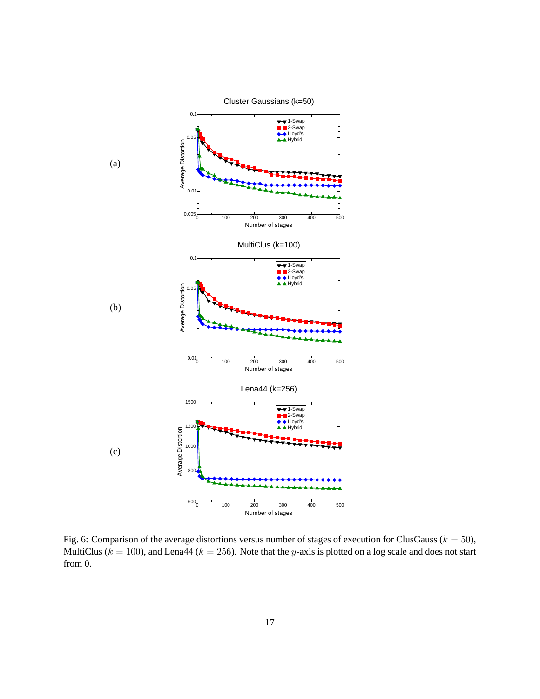

Fig. 6: Comparison of the average distortions versus number of stages of execution for ClusGauss ( $k = 50$ ), MultiClus ( $k = 100$ ), and Lena44 ( $k = 256$ ). Note that the y-axis is plotted on a log scale and does not start from 0.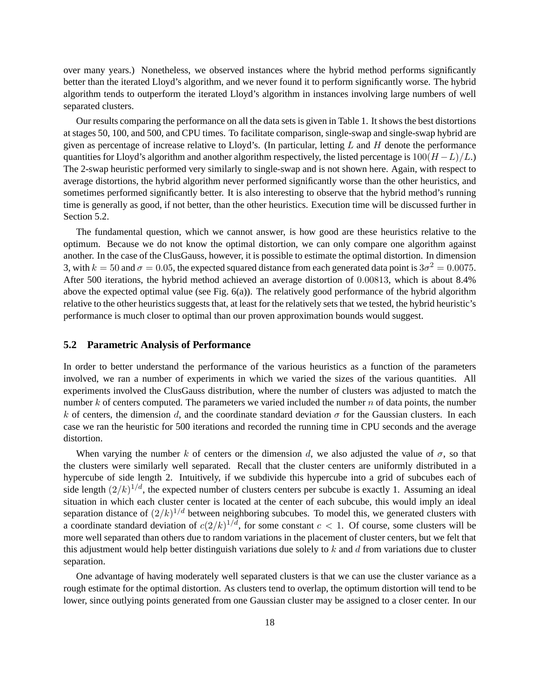over many years.) Nonetheless, we observed instances where the hybrid method performs significantly better than the iterated Lloyd's algorithm, and we never found it to perform significantly worse. The hybrid algorithm tends to outperform the iterated Lloyd's algorithm in instances involving large numbers of well separated clusters.

Our results comparing the performance on all the data sets is given in Table 1. It shows the best distortions at stages 50, 100, and 500, and CPU times. To facilitate comparison, single-swap and single-swap hybrid are given as percentage of increase relative to Lloyd's. (In particular, letting  $L$  and  $H$  denote the performance quantities for Lloyd's algorithm and another algorithm respectively, the listed percentage is  $100(H - L)/L$ .) The 2-swap heuristic performed very similarly to single-swap and is not shown here. Again, with respect to average distortions, the hybrid algorithm never performed significantly worse than the other heuristics, and sometimes performed significantly better. It is also interesting to observe that the hybrid method's running time is generally as good, if not better, than the other heuristics. Execution time will be discussed further in Section 5.2.

The fundamental question, which we cannot answer, is how good are these heuristics relative to the optimum. Because we do not know the optimal distortion, we can only compare one algorithm against another. In the case of the ClusGauss, however, it is possible to estimate the optimal distortion. In dimension 3, with  $k = 50$  and  $\sigma = 0.05$ , the expected squared distance from each generated data point is  $3\sigma^2 = 0.0075$ . After 500 iterations, the hybrid method achieved an average distortion of 0.00813, which is about 8.4% above the expected optimal value (see Fig. 6(a)). The relatively good performance of the hybrid algorithm relative to the other heuristics suggests that, at least for the relatively sets that we tested, the hybrid heuristic's performance is much closer to optimal than our proven approximation bounds would suggest.

#### **5.2 Parametric Analysis of Performance**

In order to better understand the performance of the various heuristics as a function of the parameters involved, we ran a number of experiments in which we varied the sizes of the various quantities. All experiments involved the ClusGauss distribution, where the number of clusters was adjusted to match the number  $k$  of centers computed. The parameters we varied included the number  $n$  of data points, the number k of centers, the dimension d, and the coordinate standard deviation  $\sigma$  for the Gaussian clusters. In each case we ran the heuristic for 500 iterations and recorded the running time in CPU seconds and the average distortion.

When varying the number k of centers or the dimension d, we also adjusted the value of  $\sigma$ , so that the clusters were similarly well separated. Recall that the cluster centers are uniformly distributed in a hypercube of side length 2. Intuitively, if we subdivide this hypercube into a grid of subcubes each of side length  $(2/k)^{1/d}$ , the expected number of clusters centers per subcube is exactly 1. Assuming an ideal situation in which each cluster center is located at the center of each subcube, this would imply an ideal separation distance of  $(2/k)^{1/d}$  between neighboring subcubes. To model this, we generated clusters with a coordinate standard deviation of  $c(2/k)^{1/d}$ , for some constant  $c < 1$ . Of course, some clusters will be more well separated than others due to random variations in the placement of cluster centers, but we felt that this adjustment would help better distinguish variations due solely to  $k$  and  $d$  from variations due to cluster separation.

One advantage of having moderately well separated clusters is that we can use the cluster variance as a rough estimate for the optimal distortion. As clusters tend to overlap, the optimum distortion will tend to be lower, since outlying points generated from one Gaussian cluster may be assigned to a closer center. In our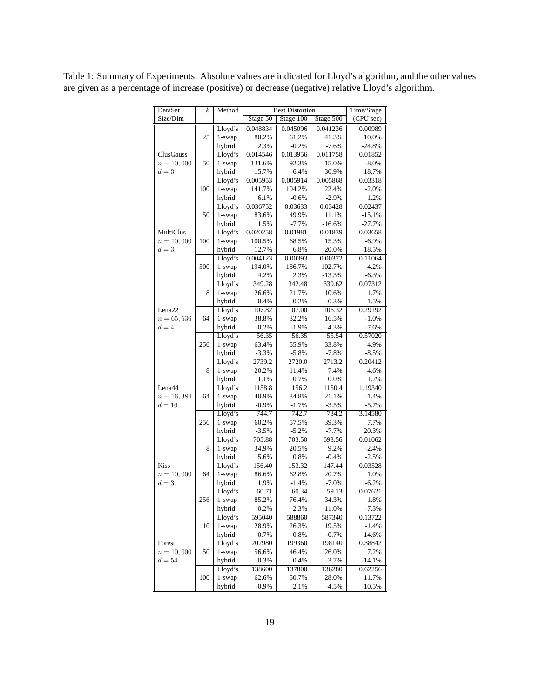Table 1: Summary of Experiments. Absolute values are indicated for Lloyd's algorithm, and the other values are given as a percentage of increase (positive) or decrease (negative) relative Lloyd's algorithm.

| DataSet                                     | k   | Method    | <b>Best Distortion</b> |           |           | Time/Stage |
|---------------------------------------------|-----|-----------|------------------------|-----------|-----------|------------|
| Size/Dim                                    |     |           | Stage 50               | Stage 100 | Stage 500 | (CPU sec)  |
| ClusGauss<br>$n = 10,000$<br>$d=3$          | 25  | Lloyd's   | 0.048834               | 0.045096  | 0.041236  | 0.00989    |
|                                             |     | $1$ -swap | 80.2%                  | 61.2%     | 41.3%     | $10.0\%$   |
|                                             |     | hybrid    | 2.3%                   | $-0.2%$   | $-7.6%$   | $-24.8%$   |
|                                             | 50  | Lloyd's   | 0.014546               | 0.013956  | 0.011758  | 0.01852    |
|                                             |     | 1-swap    | 131.6%                 | 92.3%     | 15.0%     | $-8.0\%$   |
|                                             |     | hybrid    | 15.7%                  | $-6.4%$   | $-30.9%$  | $-18.7%$   |
|                                             | 100 | Lloyd's   | 0.005953               | 0.005914  | 0.005868  | 0.03318    |
|                                             |     | 1-swap    | 141.7%                 | 104.2%    | 22.4%     | $-2.0%$    |
|                                             |     | hybrid    | 6.1%                   | $-0.6%$   | $-2.9%$   | 1.2%       |
| MultiClus<br>$n = 10,000$<br>$d=3$          | 50  | Lloyd's   | 0.036752               | 0.03633   | 0.03428   | 0.02437    |
|                                             |     | 1-swap    | 83.6%                  | 49.9%     | 11.1%     | $-15.1%$   |
|                                             |     | hybrid    | 1.5%                   | $-7.7%$   | $-16.6%$  | $-27.7%$   |
|                                             | 100 | Lloyd's   | 0.020258               | 0.01981   | 0.01839   | 0.03658    |
|                                             |     | 1-swap    | 100.5%                 | 68.5%     | 15.3%     | $-6.9%$    |
|                                             |     | hybrid    | 12.7%                  | 6.8%      | $-20.0%$  | $-18.5%$   |
|                                             | 500 | Lloyd's   | 0.004123               | 0.00393   | 0.00372   | 0.11064    |
|                                             |     | 1-swap    | 194.0%                 | 186.7%    | 102.7%    | 4.2%       |
|                                             |     | hybrid    | 4.2%                   | 2.3%      | $-13.3%$  | $-6.3%$    |
| Lena <sub>22</sub><br>$n = 65,536$<br>$d=4$ | 8   | Lloyd's   | 349.28                 | 342.48    | 339.62    | 0.07312    |
|                                             |     | 1-swap    | 26.6%                  | 21.7%     | 10.6%     | 1.7%       |
|                                             |     | hybrid    | 0.4%                   | 0.2%      | $-0.3%$   | 1.5%       |
|                                             | 64  | Lloyd's   | 107.82                 | 107.00    | 106.32    | 0.29192    |
|                                             |     | 1-swap    | 38.8%                  | 32.2%     | 16.5%     | $-1.0%$    |
|                                             |     | hybrid    | $-0.2%$                | $-1.9%$   | $-4.3%$   | $-7.6%$    |
|                                             | 256 | Lloyd's   | 56.35                  | 56.35     | 55.54     | 0.57020    |
|                                             |     | 1-swap    | 63.4%                  | 55.9%     | 33.8%     | 4.9%       |
|                                             |     | hybrid    | $-3.3%$                | $-5.8%$   | $-7.8%$   | $-8.5%$    |
| Lena44<br>$n = 16,384$<br>$d=16$            | 8   | Lloyd's   | 2739.2                 | 2720.0    | 2713.2    | 0.20412    |
|                                             |     | $1$ -swap | 20.2%                  | 11.4%     | 7.4%      | 4.6%       |
|                                             |     | hybrid    | 1.1%                   | 0.7%      | 0.0%      | 1.2%       |
|                                             | 64  | Lloyd's   | 1158.8                 | 1156.2    | 1150.4    | 1.19340    |
|                                             |     | 1-swap    | 40.9%                  | 34.8%     | 21.1%     | $-1.4%$    |
|                                             |     | hybrid    | $-0.9%$                | $-1.7%$   | $-3.5%$   | $-5.7%$    |
|                                             | 256 | Lloyd's   | 744.7                  | 742.7     | 734.2     | $-3.14580$ |
|                                             |     | 1-swap    | 60.2%                  | 57.5%     | 39.3%     | 7.7%       |
|                                             |     | hybrid    | $-3.5%$                | $-5.2%$   | $-7.7%$   | 20.3%      |
| <b>Kiss</b><br>$n = 10,000$<br>$d=3$        | 8   | Lloyd's   | 705.88                 | 703.50    | 693.56    | 0.01062    |
|                                             |     | 1-swap    | 34.9%                  | 20.5%     | 9.2%      | $-2.4%$    |
|                                             |     | hybrid    | 5.6%                   | 0.8%      | $-0.4%$   | $-2.5%$    |
|                                             | 64  | Lloyd's   | 156.40                 | 153.32    | 147.44    | 0.03528    |
|                                             |     | 1-swap    | 86.6%                  | 62.8%     | 20.7%     | 1.0%       |
|                                             |     | hybrid    | 1.9%                   | $-1.4%$   | $-7.0\%$  | $-6.2%$    |
|                                             | 256 | Lloyd's   | 60.71                  | 60.34     | 59.13     | 0.07621    |
|                                             |     | $1$ -swap | 85.2%                  | 76.4%     | 34.3%     | 1.8%       |
|                                             |     | hybrid    | $-0.2%$                | $-2.3%$   | $-11.0%$  | $-7.3%$    |
| Forest<br>$n = 10,000$<br>$d=54$            | 10  | Lloyd's   | 595040                 | 588860    | 587340    | 0.13722    |
|                                             |     | 1-swap    | 28.9%                  | 26.3%     | 19.5%     | $-1.4%$    |
|                                             |     | hybrid    | 0.7%                   | 0.8%      | $-0.7%$   | $-14.6%$   |
|                                             |     | Lloyd's   | 202980                 | 199360    | 198140    | 0.38842    |
|                                             | 50  | $1$ -swap | 56.6%                  | 46.4%     | 26.0%     | 7.2%       |
|                                             |     | hybrid    | $-0.3%$                | $-0.4%$   | $-3.7%$   | $-14.1%$   |
|                                             | 100 | Lloyd's   | 138600                 | 137800    | 136280    | 0.62256    |
|                                             |     | 1-swap    | 62.6%                  | 50.7%     | 28.0%     | 11.7%      |
|                                             |     | hybrid    | $-0.9%$                | $-2.1%$   | $-4.5%$   | $-10.5%$   |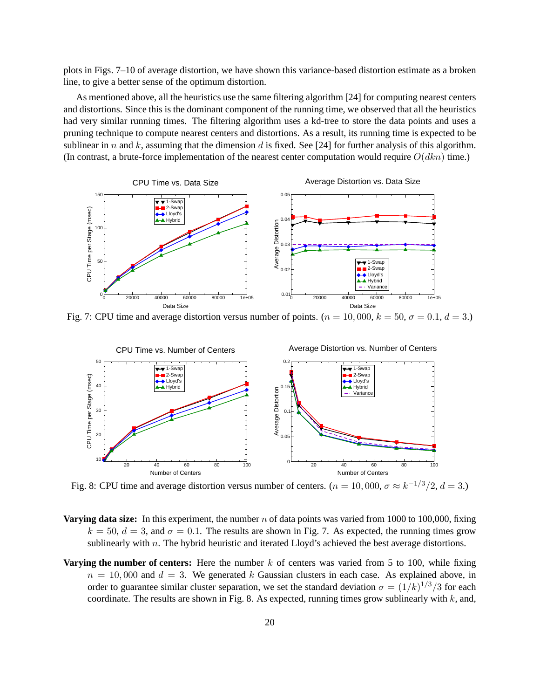plots in Figs. 7–10 of average distortion, we have shown this variance-based distortion estimate as a broken line, to give a better sense of the optimum distortion.

As mentioned above, all the heuristics use the same filtering algorithm [24] for computing nearest centers and distortions. Since this is the dominant component of the running time, we observed that all the heuristics had very similar running times. The filtering algorithm uses a kd-tree to store the data points and uses a pruning technique to compute nearest centers and distortions. As a result, its running time is expected to be sublinear in n and k, assuming that the dimension d is fixed. See [24] for further analysis of this algorithm. (In contrast, a brute-force implementation of the nearest center computation would require  $O(dkn)$  time.)



Fig. 7: CPU time and average distortion versus number of points. ( $n = 10,000$ ,  $k = 50$ ,  $\sigma = 0.1$ ,  $d = 3$ .)



Fig. 8: CPU time and average distortion versus number of centers. ( $n = 10,000$ ,  $\sigma \approx k^{-1/3}/2$ ,  $d = 3$ .)

- **Varying data size:** In this experiment, the number n of data points was varied from 1000 to 100,000, fixing  $k = 50$ ,  $d = 3$ , and  $\sigma = 0.1$ . The results are shown in Fig. 7. As expected, the running times grow sublinearly with  $n$ . The hybrid heuristic and iterated Lloyd's achieved the best average distortions.
- **Varying the number of centers:** Here the number k of centers was varied from 5 to 100, while fixing  $n = 10,000$  and  $d = 3$ . We generated k Gaussian clusters in each case. As explained above, in order to guarantee similar cluster separation, we set the standard deviation  $\sigma = (1/k)^{1/3}/3$  for each coordinate. The results are shown in Fig. 8. As expected, running times grow sublinearly with  $k$ , and,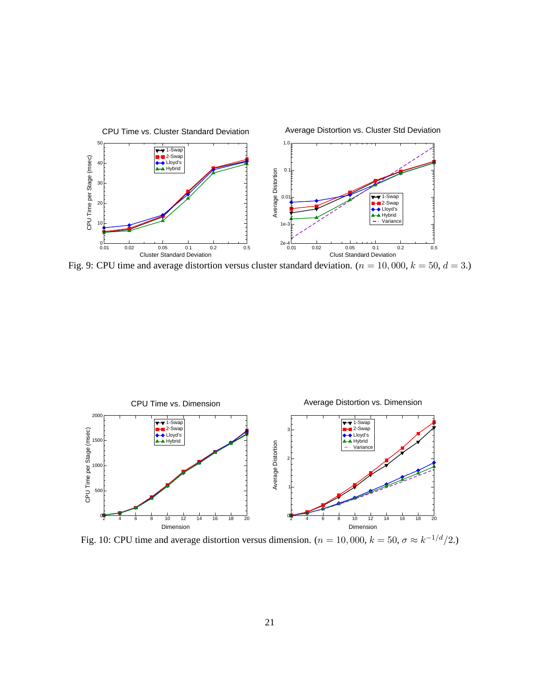

Fig. 9: CPU time and average distortion versus cluster standard deviation. ( $n = 10,000$ ,  $k = 50$ ,  $d = 3$ .)



Fig. 10: CPU time and average distortion versus dimension. ( $n = 10,000$ ,  $k = 50$ ,  $\sigma \approx k^{-1/d}/2$ .)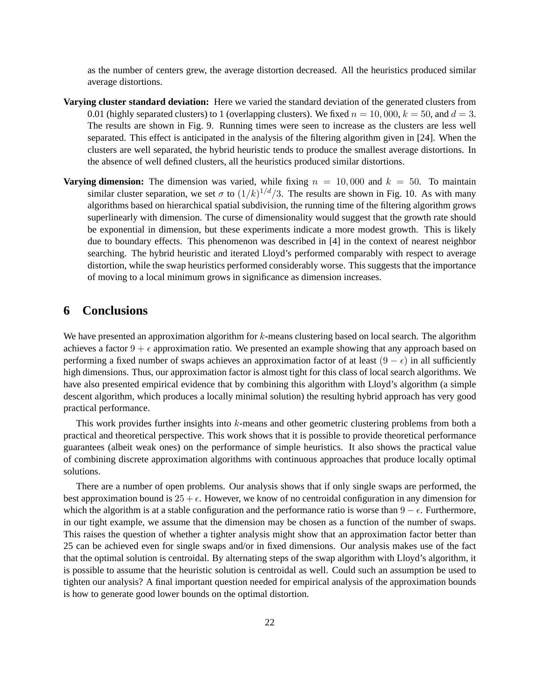as the number of centers grew, the average distortion decreased. All the heuristics produced similar average distortions.

- **Varying cluster standard deviation:** Here we varied the standard deviation of the generated clusters from 0.01 (highly separated clusters) to 1 (overlapping clusters). We fixed  $n = 10,000$ ,  $k = 50$ , and  $d = 3$ . The results are shown in Fig. 9. Running times were seen to increase as the clusters are less well separated. This effect is anticipated in the analysis of the filtering algorithm given in [24]. When the clusters are well separated, the hybrid heuristic tends to produce the smallest average distortions. In the absence of well defined clusters, all the heuristics produced similar distortions.
- **Varying dimension:** The dimension was varied, while fixing  $n = 10,000$  and  $k = 50$ . To maintain similar cluster separation, we set  $\sigma$  to  $(1/k)^{1/d}/3$ . The results are shown in Fig. 10. As with many algorithms based on hierarchical spatial subdivision, the running time of the filtering algorithm grows superlinearly with dimension. The curse of dimensionality would suggest that the growth rate should be exponential in dimension, but these experiments indicate a more modest growth. This is likely due to boundary effects. This phenomenon was described in [4] in the context of nearest neighbor searching. The hybrid heuristic and iterated Lloyd's performed comparably with respect to average distortion, while the swap heuristics performed considerably worse. This suggests that the importance of moving to a local minimum grows in significance as dimension increases.

### **6 Conclusions**

We have presented an approximation algorithm for  $k$ -means clustering based on local search. The algorithm achieves a factor  $9 + \epsilon$  approximation ratio. We presented an example showing that any approach based on performing a fixed number of swaps achieves an approximation factor of at least  $(9 - \epsilon)$  in all sufficiently high dimensions. Thus, our approximation factor is almost tight for this class of local search algorithms. We have also presented empirical evidence that by combining this algorithm with Lloyd's algorithm (a simple descent algorithm, which produces a locally minimal solution) the resulting hybrid approach has very good practical performance.

This work provides further insights into  $k$ -means and other geometric clustering problems from both a practical and theoretical perspective. This work shows that it is possible to provide theoretical performance guarantees (albeit weak ones) on the performance of simple heuristics. It also shows the practical value of combining discrete approximation algorithms with continuous approaches that produce locally optimal solutions.

There are a number of open problems. Our analysis shows that if only single swaps are performed, the best approximation bound is  $25 + \epsilon$ . However, we know of no centroidal configuration in any dimension for which the algorithm is at a stable configuration and the performance ratio is worse than  $9 - \epsilon$ . Furthermore, in our tight example, we assume that the dimension may be chosen as a function of the number of swaps. This raises the question of whether a tighter analysis might show that an approximation factor better than 25 can be achieved even for single swaps and/or in fixed dimensions. Our analysis makes use of the fact that the optimal solution is centroidal. By alternating steps of the swap algorithm with Lloyd's algorithm, it is possible to assume that the heuristic solution is centroidal as well. Could such an assumption be used to tighten our analysis? A final important question needed for empirical analysis of the approximation bounds is how to generate good lower bounds on the optimal distortion.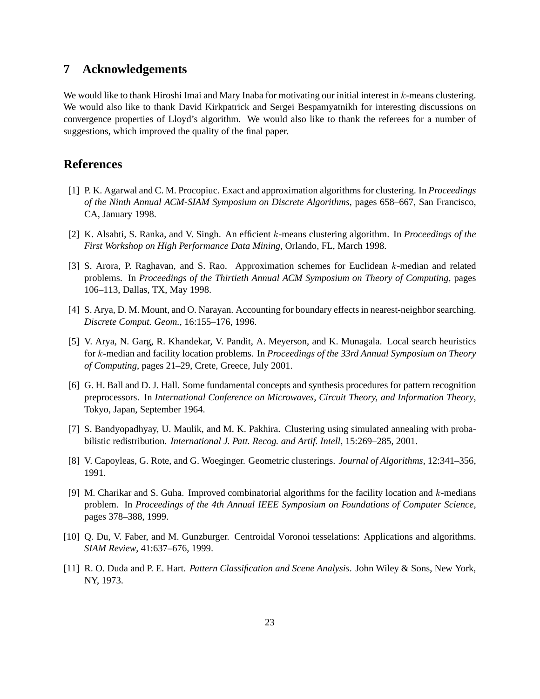# **7 Acknowledgements**

We would like to thank Hiroshi Imai and Mary Inaba for motivating our initial interest in k-means clustering. We would also like to thank David Kirkpatrick and Sergei Bespamyatnikh for interesting discussions on convergence properties of Lloyd's algorithm. We would also like to thank the referees for a number of suggestions, which improved the quality of the final paper.

### **References**

- [1] P. K. Agarwal and C. M. Procopiuc. Exact and approximation algorithms for clustering. In *Proceedings of the Ninth Annual ACM-SIAM Symposium on Discrete Algorithms*, pages 658–667, San Francisco, CA, January 1998.
- [2] K. Alsabti, S. Ranka, and V. Singh. An efficient k-means clustering algorithm. In *Proceedings of the First Workshop on High Performance Data Mining*, Orlando, FL, March 1998.
- [3] S. Arora, P. Raghavan, and S. Rao. Approximation schemes for Euclidean k-median and related problems. In *Proceedings of the Thirtieth Annual ACM Symposium on Theory of Computing*, pages 106–113, Dallas, TX, May 1998.
- [4] S. Arya, D. M. Mount, and O. Narayan. Accounting for boundary effects in nearest-neighbor searching. *Discrete Comput. Geom.*, 16:155–176, 1996.
- [5] V. Arya, N. Garg, R. Khandekar, V. Pandit, A. Meyerson, and K. Munagala. Local search heuristics for k-median and facility location problems. In *Proceedings of the 33rd Annual Symposium on Theory of Computing*, pages 21–29, Crete, Greece, July 2001.
- [6] G. H. Ball and D. J. Hall. Some fundamental concepts and synthesis procedures for pattern recognition preprocessors. In *International Conference on Microwaves, Circuit Theory, and Information Theory*, Tokyo, Japan, September 1964.
- [7] S. Bandyopadhyay, U. Maulik, and M. K. Pakhira. Clustering using simulated annealing with probabilistic redistribution. *International J. Patt. Recog. and Artif. Intell*, 15:269–285, 2001.
- [8] V. Capoyleas, G. Rote, and G. Woeginger. Geometric clusterings. *Journal of Algorithms*, 12:341–356, 1991.
- [9] M. Charikar and S. Guha. Improved combinatorial algorithms for the facility location and  $k$ -medians problem. In *Proceedings of the 4th Annual IEEE Symposium on Foundations of Computer Science*, pages 378–388, 1999.
- [10] Q. Du, V. Faber, and M. Gunzburger. Centroidal Voronoi tesselations: Applications and algorithms. *SIAM Review*, 41:637–676, 1999.
- [11] R. O. Duda and P. E. Hart. *Pattern Classification and Scene Analysis*. John Wiley & Sons, New York, NY, 1973.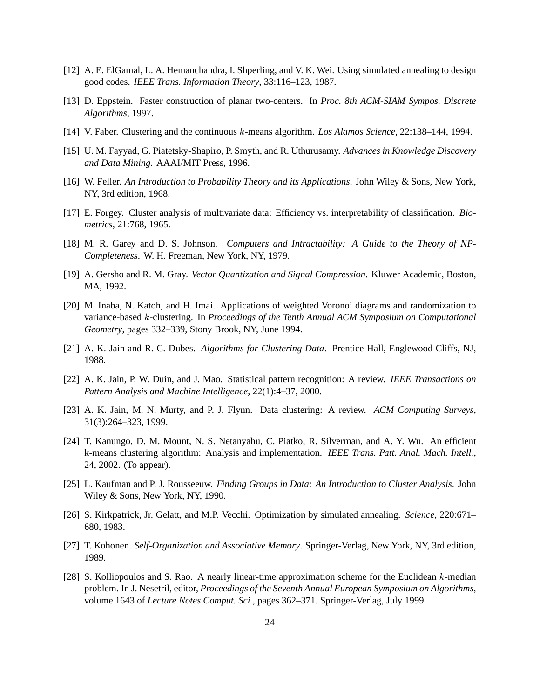- [12] A. E. ElGamal, L. A. Hemanchandra, I. Shperling, and V. K. Wei. Using simulated annealing to design good codes. *IEEE Trans. Information Theory*, 33:116–123, 1987.
- [13] D. Eppstein. Faster construction of planar two-centers. In *Proc. 8th ACM-SIAM Sympos. Discrete Algorithms*, 1997.
- [14] V. Faber. Clustering and the continuous k-means algorithm. *Los Alamos Science*, 22:138–144, 1994.
- [15] U. M. Fayyad, G. Piatetsky-Shapiro, P. Smyth, and R. Uthurusamy. *Advances in Knowledge Discovery and Data Mining*. AAAI/MIT Press, 1996.
- [16] W. Feller. *An Introduction to Probability Theory and its Applications*. John Wiley & Sons, New York, NY, 3rd edition, 1968.
- [17] E. Forgey. Cluster analysis of multivariate data: Efficiency vs. interpretability of classification. *Biometrics*, 21:768, 1965.
- [18] M. R. Garey and D. S. Johnson. *Computers and Intractability: A Guide to the Theory of NP-Completeness*. W. H. Freeman, New York, NY, 1979.
- [19] A. Gersho and R. M. Gray. *Vector Quantization and Signal Compression*. Kluwer Academic, Boston, MA, 1992.
- [20] M. Inaba, N. Katoh, and H. Imai. Applications of weighted Voronoi diagrams and randomization to variance-based k-clustering. In *Proceedings of the Tenth Annual ACM Symposium on Computational Geometry*, pages 332–339, Stony Brook, NY, June 1994.
- [21] A. K. Jain and R. C. Dubes. *Algorithms for Clustering Data*. Prentice Hall, Englewood Cliffs, NJ, 1988.
- [22] A. K. Jain, P. W. Duin, and J. Mao. Statistical pattern recognition: A review. *IEEE Transactions on Pattern Analysis and Machine Intelligence*, 22(1):4–37, 2000.
- [23] A. K. Jain, M. N. Murty, and P. J. Flynn. Data clustering: A review. *ACM Computing Surveys*, 31(3):264–323, 1999.
- [24] T. Kanungo, D. M. Mount, N. S. Netanyahu, C. Piatko, R. Silverman, and A. Y. Wu. An efficient k-means clustering algorithm: Analysis and implementation. *IEEE Trans. Patt. Anal. Mach. Intell.*, 24, 2002. (To appear).
- [25] L. Kaufman and P. J. Rousseeuw. *Finding Groups in Data: An Introduction to Cluster Analysis*. John Wiley & Sons, New York, NY, 1990.
- [26] S. Kirkpatrick, Jr. Gelatt, and M.P. Vecchi. Optimization by simulated annealing. *Science*, 220:671– 680, 1983.
- [27] T. Kohonen. *Self-Organization and Associative Memory*. Springer-Verlag, New York, NY, 3rd edition, 1989.
- [28] S. Kolliopoulos and S. Rao. A nearly linear-time approximation scheme for the Euclidean k-median problem. In J. Nesetril, editor, *Proceedings of the Seventh Annual European Symposium on Algorithms*, volume 1643 of *Lecture Notes Comput. Sci.*, pages 362–371. Springer-Verlag, July 1999.